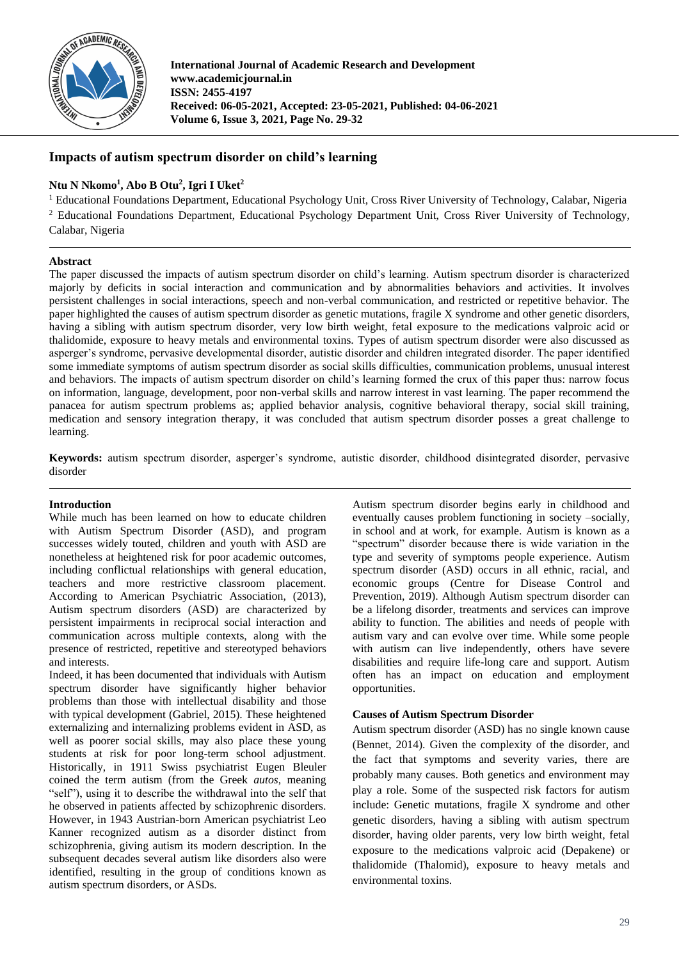

**International Journal of Academic Research and Development www.academicjournal.in ISSN: 2455-4197 Received: 06-05-2021, Accepted: 23-05-2021, Published: 04-06-2021 Volume 6, Issue 3, 2021, Page No. 29-32**

# **Impacts of autism spectrum disorder on child's learning**

# **Ntu N Nkomo<sup>1</sup> , Abo B Otu<sup>2</sup> , Igri I Uket<sup>2</sup>**

<sup>1</sup> Educational Foundations Department, Educational Psychology Unit, Cross River University of Technology, Calabar, Nigeria <sup>2</sup> Educational Foundations Department, Educational Psychology Department Unit, Cross River University of Technology, Calabar, Nigeria

# **Abstract**

The paper discussed the impacts of autism spectrum disorder on child's learning. Autism spectrum disorder is characterized majorly by deficits in social interaction and communication and by abnormalities behaviors and activities. It involves persistent challenges in social interactions, speech and non-verbal communication, and restricted or repetitive behavior. The paper highlighted the causes of autism spectrum disorder as genetic mutations, fragile X syndrome and other genetic disorders, having a sibling with autism spectrum disorder, very low birth weight, fetal exposure to the medications valproic acid or thalidomide, exposure to heavy metals and environmental toxins. Types of autism spectrum disorder were also discussed as asperger's syndrome, pervasive developmental disorder, autistic disorder and children integrated disorder. The paper identified some immediate symptoms of autism spectrum disorder as social skills difficulties, communication problems, unusual interest and behaviors. The impacts of autism spectrum disorder on child's learning formed the crux of this paper thus: narrow focus on information, language, development, poor non-verbal skills and narrow interest in vast learning. The paper recommend the panacea for autism spectrum problems as; applied behavior analysis, cognitive behavioral therapy, social skill training, medication and sensory integration therapy, it was concluded that autism spectrum disorder posses a great challenge to learning.

**Keywords:** autism spectrum disorder, asperger's syndrome, autistic disorder, childhood disintegrated disorder, pervasive disorder

## **Introduction**

While much has been learned on how to educate children with Autism Spectrum Disorder (ASD), and program successes widely touted, children and youth with ASD are nonetheless at heightened risk for poor academic outcomes, including conflictual relationships with general education, teachers and more restrictive classroom placement. According to American Psychiatric Association, (2013), Autism spectrum disorders (ASD) are characterized by persistent impairments in reciprocal social interaction and communication across multiple contexts, along with the presence of restricted, repetitive and stereotyped behaviors and interests.

Indeed, it has been documented that individuals with Autism spectrum disorder have significantly higher behavior problems than those with intellectual disability and those with typical development (Gabriel, 2015). These heightened externalizing and internalizing problems evident in ASD, as well as poorer social skills, may also place these young students at risk for poor long-term school adjustment. Historically, in 1911 Swiss psychiatrist Eugen Bleuler coined the term autism (from the Greek *autos*, meaning "self"), using it to describe the withdrawal into the self that he observed in patients affected by schizophrenic disorders. However, in 1943 Austrian-born American psychiatrist Leo Kanner recognized autism as a disorder distinct from schizophrenia, giving autism its modern description. In the subsequent decades several autism like disorders also were identified, resulting in the group of conditions known as autism spectrum disorders, or ASDs.

Autism spectrum disorder begins early in childhood and eventually causes problem functioning in society –socially, in school and at work, for example. Autism is known as a "spectrum" disorder because there is wide variation in the type and severity of symptoms people experience. Autism spectrum disorder (ASD) occurs in all ethnic, racial, and economic groups (Centre for Disease Control and Prevention, 2019). Although Autism spectrum disorder can be a lifelong disorder, treatments and services can improve ability to function. The abilities and needs of people with autism vary and can evolve over time. While some people with autism can live independently, others have severe disabilities and require life-long care and support. Autism often has an impact on education and employment opportunities.

# **Causes of Autism Spectrum Disorder**

Autism spectrum disorder (ASD) has no single known cause (Bennet, 2014). Given the complexity of the disorder, and the fact that symptoms and severity varies, there are probably many causes. Both genetics and environment may play a role. Some of the suspected risk factors for autism include: Genetic mutations, fragile X syndrome and other genetic disorders, having a sibling with autism spectrum disorder, having older parents, very low birth weight, fetal exposure to the medications valproic acid (Depakene) or thalidomide (Thalomid), exposure to heavy metals and environmental toxins.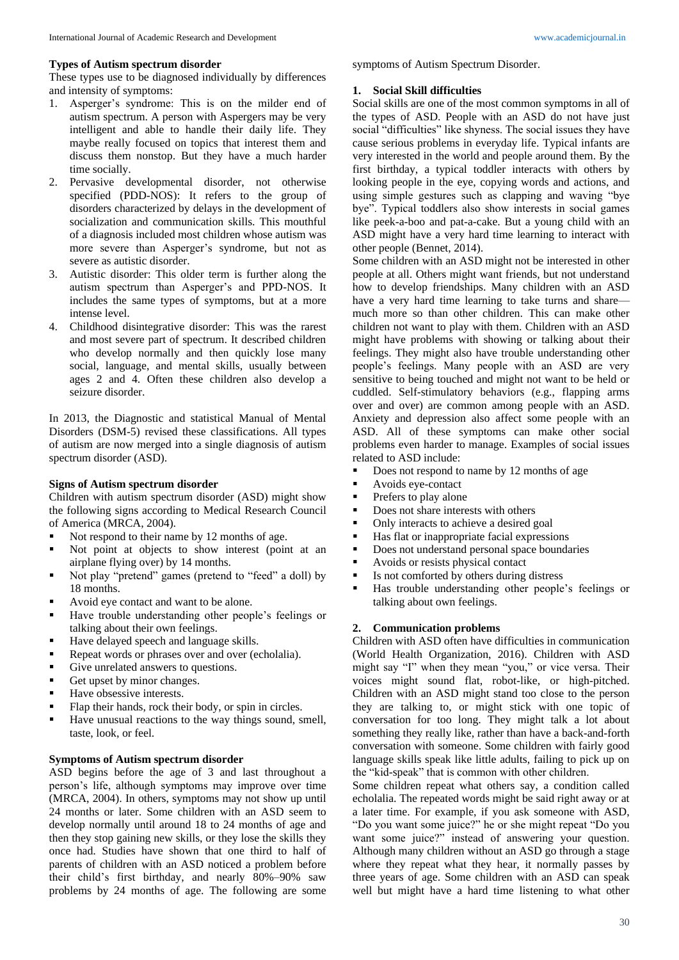### **Types of Autism spectrum disorder**

These types use to be diagnosed individually by differences and intensity of symptoms:

- 1. Asperger's syndrome: This is on the milder end of autism spectrum. A person with Aspergers may be very intelligent and able to handle their daily life. They maybe really focused on topics that interest them and discuss them nonstop. But they have a much harder time socially.
- 2. Pervasive developmental disorder, not otherwise specified (PDD-NOS): It refers to the group of disorders characterized by delays in the development of socialization and communication skills. This mouthful of a diagnosis included most children whose autism was more severe than Asperger's syndrome, but not as severe as autistic disorder.
- 3. Autistic disorder: This older term is further along the autism spectrum than Asperger's and PPD-NOS. It includes the same types of symptoms, but at a more intense level.
- 4. Childhood disintegrative disorder: This was the rarest and most severe part of spectrum. It described children who develop normally and then quickly lose many social, language, and mental skills, usually between ages 2 and 4. Often these children also develop a seizure disorder.

In 2013, the Diagnostic and statistical Manual of Mental Disorders (DSM-5) revised these classifications. All types of autism are now merged into a single diagnosis of autism spectrum disorder (ASD).

## **Signs of Autism spectrum disorder**

Children with autism spectrum disorder (ASD) might show the following signs according to Medical Research Council of America (MRCA, 2004).

- Not respond to their name by 12 months of age.
- Not point at objects to show interest (point at an airplane flying over) by 14 months.
- Not play "pretend" games (pretend to "feed" a doll) by 18 months.
- Avoid eye contact and want to be alone.
- Have trouble understanding other people's feelings or talking about their own feelings.
- Have delayed speech and language skills.
- Repeat words or phrases over and over (echolalia).
- Give unrelated answers to questions.
- Get upset by minor changes.
- Have obsessive interests.
- Flap their hands, rock their body, or spin in circles.
- Have unusual reactions to the way things sound, smell, taste, look, or feel.

### **Symptoms of Autism spectrum disorder**

ASD begins before the age of 3 and last throughout a person's life, although symptoms may improve over time (MRCA, 2004). In others, symptoms may not show up until 24 months or later. Some children with an ASD seem to develop normally until around 18 to 24 months of age and then they stop gaining new skills, or they lose the skills they once had. Studies have shown that one third to half of parents of children with an ASD noticed a problem before their child's first birthday, and nearly 80%–90% saw problems by 24 months of age. The following are some

symptoms of Autism Spectrum Disorder.

#### **1. Social Skill difficulties**

Social skills are one of the most common symptoms in all of the types of ASD. People with an ASD do not have just social "difficulties" like shyness. The social issues they have cause serious problems in everyday life. Typical infants are very interested in the world and people around them. By the first birthday, a typical toddler interacts with others by looking people in the eye, copying words and actions, and using simple gestures such as clapping and waving "bye bye". Typical toddlers also show interests in social games like peek-a-boo and pat-a-cake. But a young child with an ASD might have a very hard time learning to interact with other people (Bennet, 2014).

Some children with an ASD might not be interested in other people at all. Others might want friends, but not understand how to develop friendships. Many children with an ASD have a very hard time learning to take turns and share much more so than other children. This can make other children not want to play with them. Children with an ASD might have problems with showing or talking about their feelings. They might also have trouble understanding other people's feelings. Many people with an ASD are very sensitive to being touched and might not want to be held or cuddled. Self-stimulatory behaviors (e.g., flapping arms over and over) are common among people with an ASD. Anxiety and depression also affect some people with an ASD. All of these symptoms can make other social problems even harder to manage. Examples of social issues related to ASD include:

- Does not respond to name by 12 months of age
- Avoids eye-contact
- **•** Prefers to play alone
- Does not share interests with others
- Only interacts to achieve a desired goal
- Has flat or inappropriate facial expressions
- Does not understand personal space boundaries
- Avoids or resists physical contact
- Is not comforted by others during distress
- Has trouble understanding other people's feelings or talking about own feelings.

#### **2. Communication problems**

Children with ASD often have difficulties in communication (World Health Organization, 2016). Children with ASD might say "I" when they mean "you," or vice versa. Their voices might sound flat, robot-like, or high-pitched. Children with an ASD might stand too close to the person they are talking to, or might stick with one topic of conversation for too long. They might talk a lot about something they really like, rather than have a back-and-forth conversation with someone. Some children with fairly good language skills speak like little adults, failing to pick up on the "kid-speak" that is common with other children.

Some children repeat what others say, a condition called echolalia. The repeated words might be said right away or at a later time. For example, if you ask someone with ASD, "Do you want some juice?" he or she might repeat "Do you want some juice?" instead of answering your question. Although many children without an ASD go through a stage where they repeat what they hear, it normally passes by three years of age. Some children with an ASD can speak well but might have a hard time listening to what other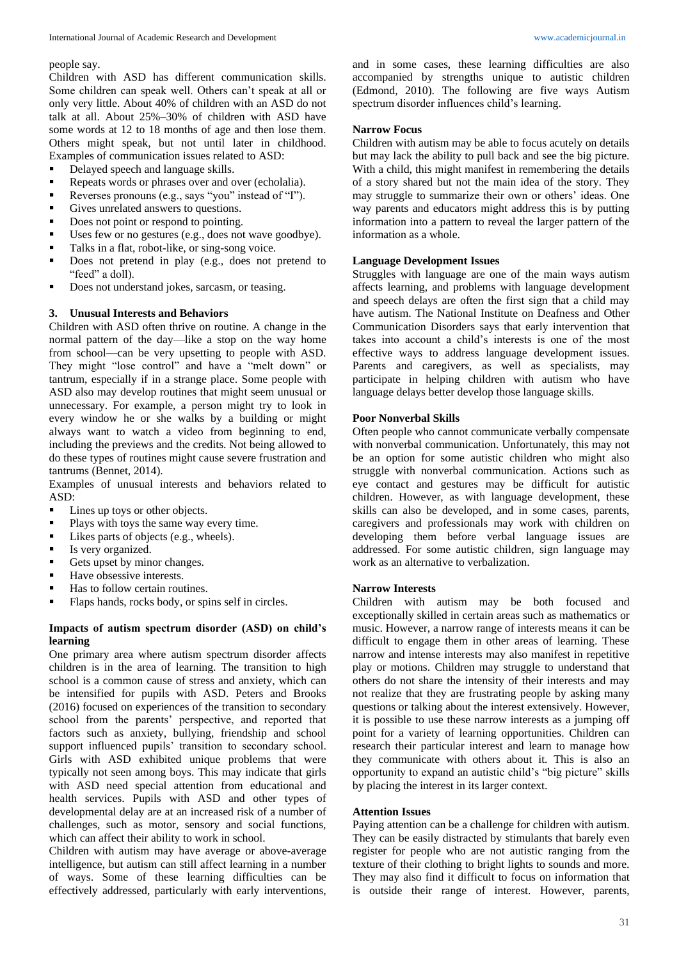# people say.

Children with ASD has different communication skills. Some children can speak well. Others can't speak at all or only very little. About 40% of children with an ASD do not talk at all. About 25%–30% of children with ASD have some words at 12 to 18 months of age and then lose them. Others might speak, but not until later in childhood. Examples of communication issues related to ASD:

- Delayed speech and language skills.
- Repeats words or phrases over and over (echolalia).
- Reverses pronouns (e.g., says "you" instead of "I").
- Gives unrelated answers to questions.
- Does not point or respond to pointing.
- Uses few or no gestures (e.g., does not wave goodbye).
- Talks in a flat, robot-like, or sing-song voice.
- Does not pretend in play (e.g., does not pretend to "feed" a doll).
- Does not understand jokes, sarcasm, or teasing.

#### **3. Unusual Interests and Behaviors**

Children with ASD often thrive on routine. A change in the normal pattern of the day—like a stop on the way home from school—can be very upsetting to people with ASD. They might "lose control" and have a "melt down" or tantrum, especially if in a strange place. Some people with ASD also may develop routines that might seem unusual or unnecessary. For example, a person might try to look in every window he or she walks by a building or might always want to watch a video from beginning to end, including the previews and the credits. Not being allowed to do these types of routines might cause severe frustration and tantrums (Bennet, 2014).

Examples of unusual interests and behaviors related to ASD:

- Lines up toys or other objects.
- Plays with toys the same way every time.
- Likes parts of objects (e.g., wheels).
- **Example 1** Is very organized.
- Gets upset by minor changes.
- Have obsessive interests.
- Has to follow certain routines.
- Flaps hands, rocks body, or spins self in circles.

# **Impacts of autism spectrum disorder (ASD) on child's learning**

One primary area where autism spectrum disorder affects children is in the area of learning. The transition to high school is a common cause of stress and anxiety, which can be intensified for pupils with ASD. Peters and Brooks (2016) focused on experiences of the transition to secondary school from the parents' perspective, and reported that factors such as anxiety, bullying, friendship and school support influenced pupils' transition to secondary school. Girls with ASD exhibited unique problems that were typically not seen among boys. This may indicate that girls with ASD need special attention from educational and health services. Pupils with ASD and other types of developmental delay are at an increased risk of a number of challenges, such as motor, sensory and social functions, which can affect their ability to work in school.

Children with autism may have average or above-average intelligence, but autism can still affect learning in a number of ways. Some of these learning difficulties can be effectively addressed, particularly with early interventions,

and in some cases, these learning difficulties are also accompanied by strengths unique to autistic children (Edmond, 2010). The following are five ways Autism spectrum disorder influences child's learning.

# **Narrow Focus**

Children with autism may be able to focus acutely on details but may lack the ability to pull back and see the big picture. With a child, this might manifest in remembering the details of a story shared but not the main idea of the story. They may struggle to summarize their own or others' ideas. One way parents and educators might address this is by putting information into a pattern to reveal the larger pattern of the information as a whole.

## **Language Development Issues**

Struggles with language are one of the main ways autism affects learning, and problems with language development and speech delays are often the first sign that a child may have autism. The National Institute on Deafness and Other Communication Disorders says that early intervention that takes into account a child's interests is one of the most effective ways to address language development issues. Parents and caregivers, as well as specialists, may participate in helping children with autism who have language delays better develop those language skills.

## **Poor Nonverbal Skills**

Often people who cannot communicate verbally compensate with nonverbal communication. Unfortunately, this may not be an option for some autistic children who might also struggle with nonverbal communication. Actions such as eye contact and gestures may be difficult for autistic children. However, as with language development, these skills can also be developed, and in some cases, parents, caregivers and professionals may work with children on developing them before verbal language issues are addressed. For some autistic children, sign language may work as an alternative to verbalization.

### **Narrow Interests**

Children with autism may be both focused and exceptionally skilled in certain areas such as mathematics or music. However, a narrow range of interests means it can be difficult to engage them in other areas of learning. These narrow and intense interests may also manifest in repetitive play or motions. Children may struggle to understand that others do not share the intensity of their interests and may not realize that they are frustrating people by asking many questions or talking about the interest extensively. However, it is possible to use these narrow interests as a jumping off point for a variety of learning opportunities. Children can research their particular interest and learn to manage how they communicate with others about it. This is also an opportunity to expand an autistic child's "big picture" skills by placing the interest in its larger context.

# **Attention Issues**

Paying attention can be a challenge for children with autism. They can be easily distracted by stimulants that barely even register for people who are not autistic ranging from the texture of their clothing to bright lights to sounds and more. They may also find it difficult to focus on information that is outside their range of interest. However, parents,